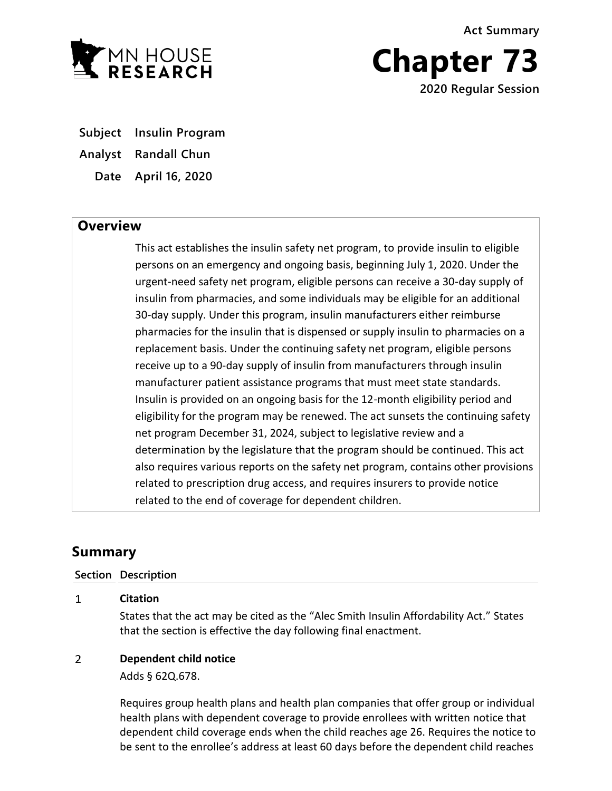**Act Summary**



**Chapter 73 2020 Regular Session**

**Subject Insulin Program**

**Analyst Randall Chun**

**Date April 16, 2020**

## **Overview**

This act establishes the insulin safety net program, to provide insulin to eligible persons on an emergency and ongoing basis, beginning July 1, 2020. Under the urgent-need safety net program, eligible persons can receive a 30-day supply of insulin from pharmacies, and some individuals may be eligible for an additional 30-day supply. Under this program, insulin manufacturers either reimburse pharmacies for the insulin that is dispensed or supply insulin to pharmacies on a replacement basis. Under the continuing safety net program, eligible persons receive up to a 90-day supply of insulin from manufacturers through insulin manufacturer patient assistance programs that must meet state standards. Insulin is provided on an ongoing basis for the 12-month eligibility period and eligibility for the program may be renewed. The act sunsets the continuing safety net program December 31, 2024, subject to legislative review and a determination by the legislature that the program should be continued. This act also requires various reports on the safety net program, contains other provisions related to prescription drug access, and requires insurers to provide notice related to the end of coverage for dependent children.

# **Summary**

### **Section Description**

#### $\mathbf{1}$ **Citation**

States that the act may be cited as the "Alec Smith Insulin Affordability Act." States that the section is effective the day following final enactment.

#### $\overline{2}$ **Dependent child notice**

Adds § 62Q.678.

Requires group health plans and health plan companies that offer group or individual health plans with dependent coverage to provide enrollees with written notice that dependent child coverage ends when the child reaches age 26. Requires the notice to be sent to the enrollee's address at least 60 days before the dependent child reaches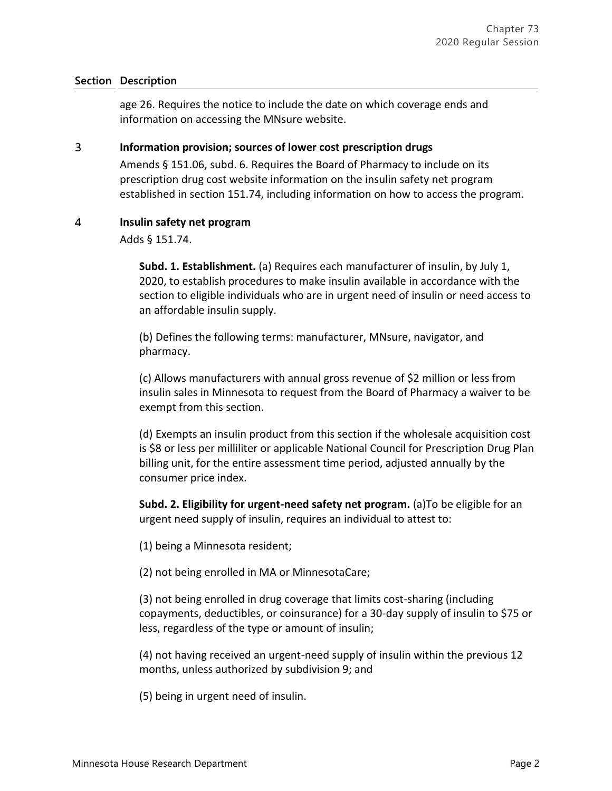age 26. Requires the notice to include the date on which coverage ends and information on accessing the MNsure website.

#### $\overline{3}$ **Information provision; sources of lower cost prescription drugs**

Amends § 151.06, subd. 6. Requires the Board of Pharmacy to include on its prescription drug cost website information on the insulin safety net program established in section 151.74, including information on how to access the program.

#### $\overline{a}$ **Insulin safety net program**

Adds § 151.74.

**Subd. 1. Establishment.** (a) Requires each manufacturer of insulin, by July 1, 2020, to establish procedures to make insulin available in accordance with the section to eligible individuals who are in urgent need of insulin or need access to an affordable insulin supply.

(b) Defines the following terms: manufacturer, MNsure, navigator, and pharmacy.

(c) Allows manufacturers with annual gross revenue of \$2 million or less from insulin sales in Minnesota to request from the Board of Pharmacy a waiver to be exempt from this section.

(d) Exempts an insulin product from this section if the wholesale acquisition cost is \$8 or less per milliliter or applicable National Council for Prescription Drug Plan billing unit, for the entire assessment time period, adjusted annually by the consumer price index.

**Subd. 2. Eligibility for urgent-need safety net program.** (a)To be eligible for an urgent need supply of insulin, requires an individual to attest to:

(1) being a Minnesota resident;

(2) not being enrolled in MA or MinnesotaCare;

(3) not being enrolled in drug coverage that limits cost-sharing (including copayments, deductibles, or coinsurance) for a 30-day supply of insulin to \$75 or less, regardless of the type or amount of insulin;

(4) not having received an urgent-need supply of insulin within the previous 12 months, unless authorized by subdivision 9; and

(5) being in urgent need of insulin.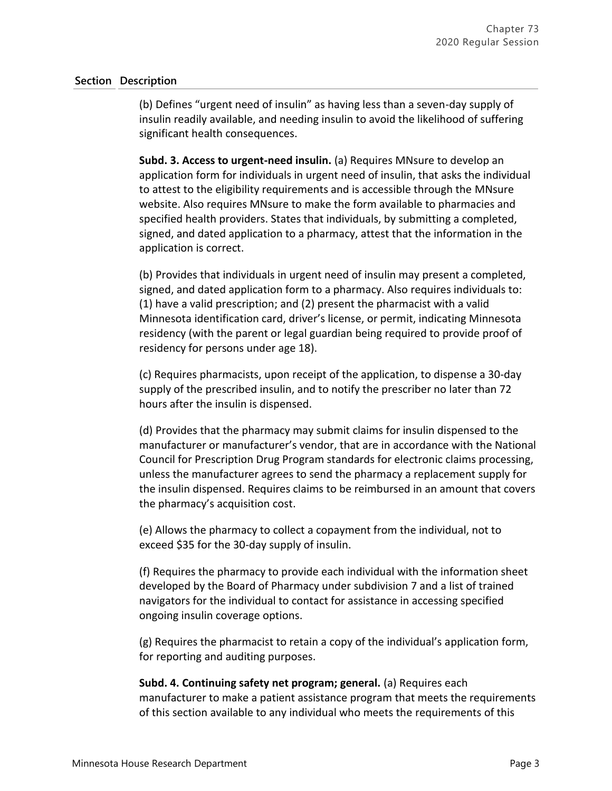(b) Defines "urgent need of insulin" as having less than a seven-day supply of insulin readily available, and needing insulin to avoid the likelihood of suffering significant health consequences.

**Subd. 3. Access to urgent-need insulin.** (a) Requires MNsure to develop an application form for individuals in urgent need of insulin, that asks the individual to attest to the eligibility requirements and is accessible through the MNsure website. Also requires MNsure to make the form available to pharmacies and specified health providers. States that individuals, by submitting a completed, signed, and dated application to a pharmacy, attest that the information in the application is correct.

(b) Provides that individuals in urgent need of insulin may present a completed, signed, and dated application form to a pharmacy. Also requires individuals to: (1) have a valid prescription; and (2) present the pharmacist with a valid Minnesota identification card, driver's license, or permit, indicating Minnesota residency (with the parent or legal guardian being required to provide proof of residency for persons under age 18).

(c) Requires pharmacists, upon receipt of the application, to dispense a 30-day supply of the prescribed insulin, and to notify the prescriber no later than 72 hours after the insulin is dispensed.

(d) Provides that the pharmacy may submit claims for insulin dispensed to the manufacturer or manufacturer's vendor, that are in accordance with the National Council for Prescription Drug Program standards for electronic claims processing, unless the manufacturer agrees to send the pharmacy a replacement supply for the insulin dispensed. Requires claims to be reimbursed in an amount that covers the pharmacy's acquisition cost.

(e) Allows the pharmacy to collect a copayment from the individual, not to exceed \$35 for the 30-day supply of insulin.

(f) Requires the pharmacy to provide each individual with the information sheet developed by the Board of Pharmacy under subdivision 7 and a list of trained navigators for the individual to contact for assistance in accessing specified ongoing insulin coverage options.

(g) Requires the pharmacist to retain a copy of the individual's application form, for reporting and auditing purposes.

**Subd. 4. Continuing safety net program; general.** (a) Requires each manufacturer to make a patient assistance program that meets the requirements of this section available to any individual who meets the requirements of this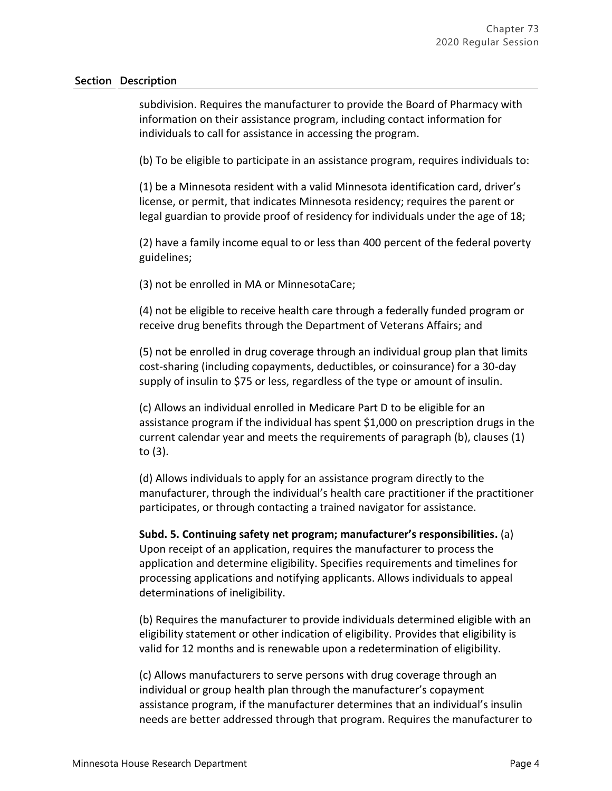subdivision. Requires the manufacturer to provide the Board of Pharmacy with information on their assistance program, including contact information for individuals to call for assistance in accessing the program.

(b) To be eligible to participate in an assistance program, requires individuals to:

(1) be a Minnesota resident with a valid Minnesota identification card, driver's license, or permit, that indicates Minnesota residency; requires the parent or legal guardian to provide proof of residency for individuals under the age of 18;

(2) have a family income equal to or less than 400 percent of the federal poverty guidelines;

(3) not be enrolled in MA or MinnesotaCare;

(4) not be eligible to receive health care through a federally funded program or receive drug benefits through the Department of Veterans Affairs; and

(5) not be enrolled in drug coverage through an individual group plan that limits cost-sharing (including copayments, deductibles, or coinsurance) for a 30-day supply of insulin to \$75 or less, regardless of the type or amount of insulin.

(c) Allows an individual enrolled in Medicare Part D to be eligible for an assistance program if the individual has spent \$1,000 on prescription drugs in the current calendar year and meets the requirements of paragraph (b), clauses (1) to (3).

(d) Allows individuals to apply for an assistance program directly to the manufacturer, through the individual's health care practitioner if the practitioner participates, or through contacting a trained navigator for assistance.

**Subd. 5. Continuing safety net program; manufacturer's responsibilities.** (a) Upon receipt of an application, requires the manufacturer to process the application and determine eligibility. Specifies requirements and timelines for processing applications and notifying applicants. Allows individuals to appeal determinations of ineligibility.

(b) Requires the manufacturer to provide individuals determined eligible with an eligibility statement or other indication of eligibility. Provides that eligibility is valid for 12 months and is renewable upon a redetermination of eligibility.

(c) Allows manufacturers to serve persons with drug coverage through an individual or group health plan through the manufacturer's copayment assistance program, if the manufacturer determines that an individual's insulin needs are better addressed through that program. Requires the manufacturer to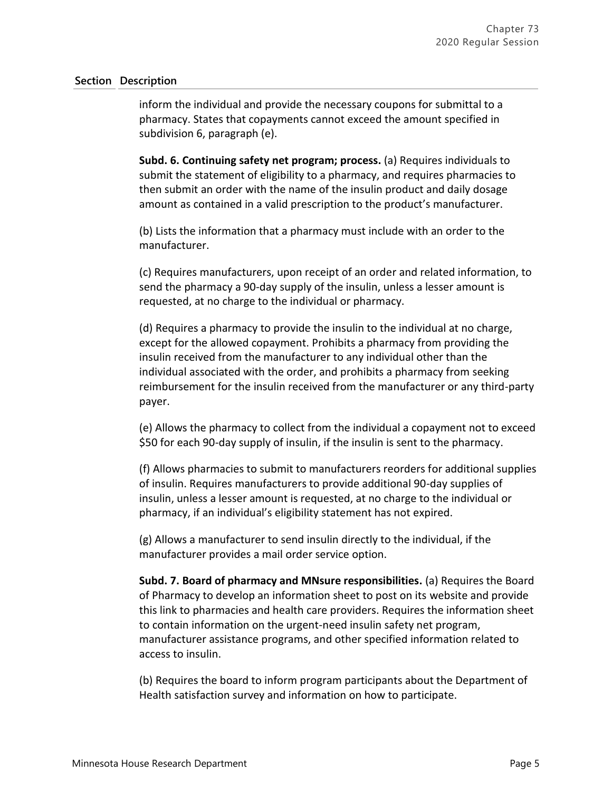inform the individual and provide the necessary coupons for submittal to a pharmacy. States that copayments cannot exceed the amount specified in subdivision 6, paragraph (e).

**Subd. 6. Continuing safety net program; process.** (a) Requires individuals to submit the statement of eligibility to a pharmacy, and requires pharmacies to then submit an order with the name of the insulin product and daily dosage amount as contained in a valid prescription to the product's manufacturer.

(b) Lists the information that a pharmacy must include with an order to the manufacturer.

(c) Requires manufacturers, upon receipt of an order and related information, to send the pharmacy a 90-day supply of the insulin, unless a lesser amount is requested, at no charge to the individual or pharmacy.

(d) Requires a pharmacy to provide the insulin to the individual at no charge, except for the allowed copayment. Prohibits a pharmacy from providing the insulin received from the manufacturer to any individual other than the individual associated with the order, and prohibits a pharmacy from seeking reimbursement for the insulin received from the manufacturer or any third-party payer.

(e) Allows the pharmacy to collect from the individual a copayment not to exceed \$50 for each 90-day supply of insulin, if the insulin is sent to the pharmacy.

(f) Allows pharmacies to submit to manufacturers reorders for additional supplies of insulin. Requires manufacturers to provide additional 90-day supplies of insulin, unless a lesser amount is requested, at no charge to the individual or pharmacy, if an individual's eligibility statement has not expired.

(g) Allows a manufacturer to send insulin directly to the individual, if the manufacturer provides a mail order service option.

**Subd. 7. Board of pharmacy and MNsure responsibilities.** (a) Requires the Board of Pharmacy to develop an information sheet to post on its website and provide this link to pharmacies and health care providers. Requires the information sheet to contain information on the urgent-need insulin safety net program, manufacturer assistance programs, and other specified information related to access to insulin.

(b) Requires the board to inform program participants about the Department of Health satisfaction survey and information on how to participate.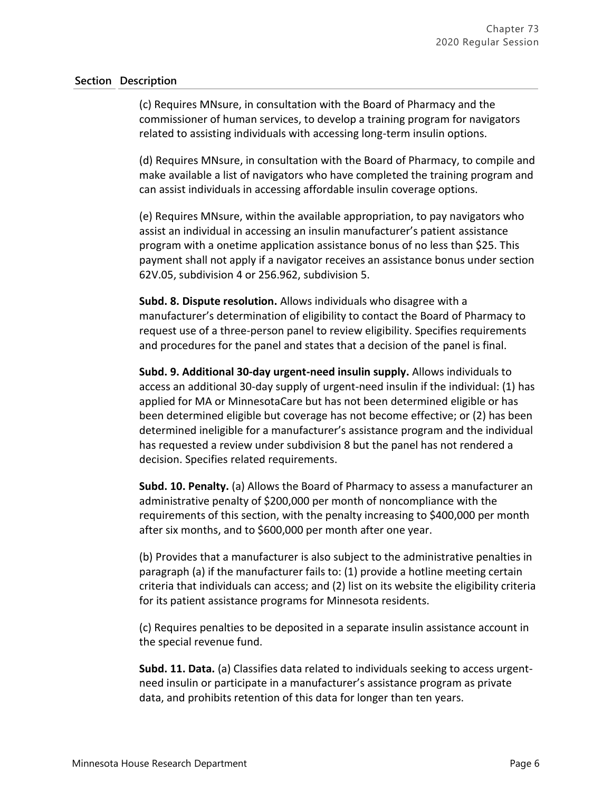(c) Requires MNsure, in consultation with the Board of Pharmacy and the commissioner of human services, to develop a training program for navigators related to assisting individuals with accessing long-term insulin options.

(d) Requires MNsure, in consultation with the Board of Pharmacy, to compile and make available a list of navigators who have completed the training program and can assist individuals in accessing affordable insulin coverage options.

(e) Requires MNsure, within the available appropriation, to pay navigators who assist an individual in accessing an insulin manufacturer's patient assistance program with a onetime application assistance bonus of no less than \$25. This payment shall not apply if a navigator receives an assistance bonus under section 62V.05, subdivision 4 or 256.962, subdivision 5.

**Subd. 8. Dispute resolution.** Allows individuals who disagree with a manufacturer's determination of eligibility to contact the Board of Pharmacy to request use of a three-person panel to review eligibility. Specifies requirements and procedures for the panel and states that a decision of the panel is final.

**Subd. 9. Additional 30-day urgent-need insulin supply.** Allows individuals to access an additional 30-day supply of urgent-need insulin if the individual: (1) has applied for MA or MinnesotaCare but has not been determined eligible or has been determined eligible but coverage has not become effective; or (2) has been determined ineligible for a manufacturer's assistance program and the individual has requested a review under subdivision 8 but the panel has not rendered a decision. Specifies related requirements.

**Subd. 10. Penalty.** (a) Allows the Board of Pharmacy to assess a manufacturer an administrative penalty of \$200,000 per month of noncompliance with the requirements of this section, with the penalty increasing to \$400,000 per month after six months, and to \$600,000 per month after one year.

(b) Provides that a manufacturer is also subject to the administrative penalties in paragraph (a) if the manufacturer fails to: (1) provide a hotline meeting certain criteria that individuals can access; and (2) list on its website the eligibility criteria for its patient assistance programs for Minnesota residents.

(c) Requires penalties to be deposited in a separate insulin assistance account in the special revenue fund.

**Subd. 11. Data.** (a) Classifies data related to individuals seeking to access urgentneed insulin or participate in a manufacturer's assistance program as private data, and prohibits retention of this data for longer than ten years.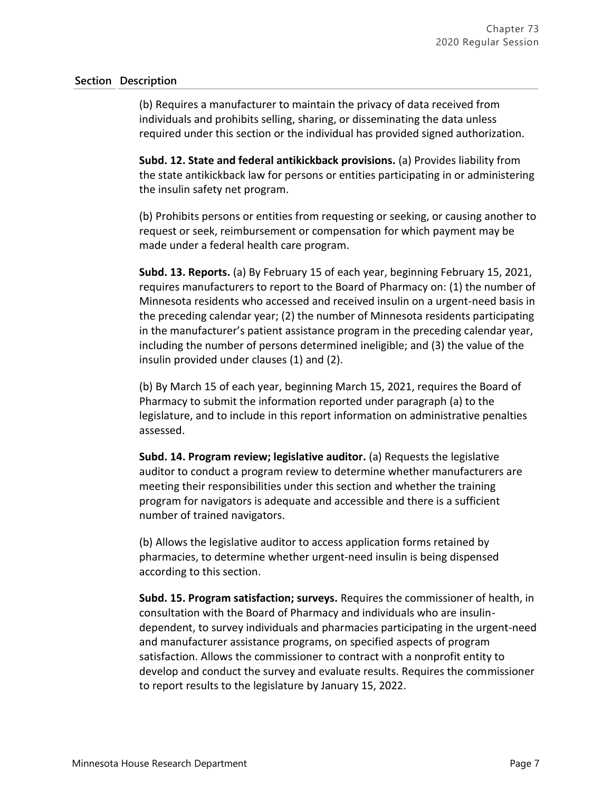(b) Requires a manufacturer to maintain the privacy of data received from individuals and prohibits selling, sharing, or disseminating the data unless required under this section or the individual has provided signed authorization.

**Subd. 12. State and federal antikickback provisions.** (a) Provides liability from the state antikickback law for persons or entities participating in or administering the insulin safety net program.

(b) Prohibits persons or entities from requesting or seeking, or causing another to request or seek, reimbursement or compensation for which payment may be made under a federal health care program.

**Subd. 13. Reports.** (a) By February 15 of each year, beginning February 15, 2021, requires manufacturers to report to the Board of Pharmacy on: (1) the number of Minnesota residents who accessed and received insulin on a urgent-need basis in the preceding calendar year; (2) the number of Minnesota residents participating in the manufacturer's patient assistance program in the preceding calendar year, including the number of persons determined ineligible; and (3) the value of the insulin provided under clauses (1) and (2).

(b) By March 15 of each year, beginning March 15, 2021, requires the Board of Pharmacy to submit the information reported under paragraph (a) to the legislature, and to include in this report information on administrative penalties assessed.

**Subd. 14. Program review; legislative auditor.** (a) Requests the legislative auditor to conduct a program review to determine whether manufacturers are meeting their responsibilities under this section and whether the training program for navigators is adequate and accessible and there is a sufficient number of trained navigators.

(b) Allows the legislative auditor to access application forms retained by pharmacies, to determine whether urgent-need insulin is being dispensed according to this section.

**Subd. 15. Program satisfaction; surveys.** Requires the commissioner of health, in consultation with the Board of Pharmacy and individuals who are insulindependent, to survey individuals and pharmacies participating in the urgent-need and manufacturer assistance programs, on specified aspects of program satisfaction. Allows the commissioner to contract with a nonprofit entity to develop and conduct the survey and evaluate results. Requires the commissioner to report results to the legislature by January 15, 2022.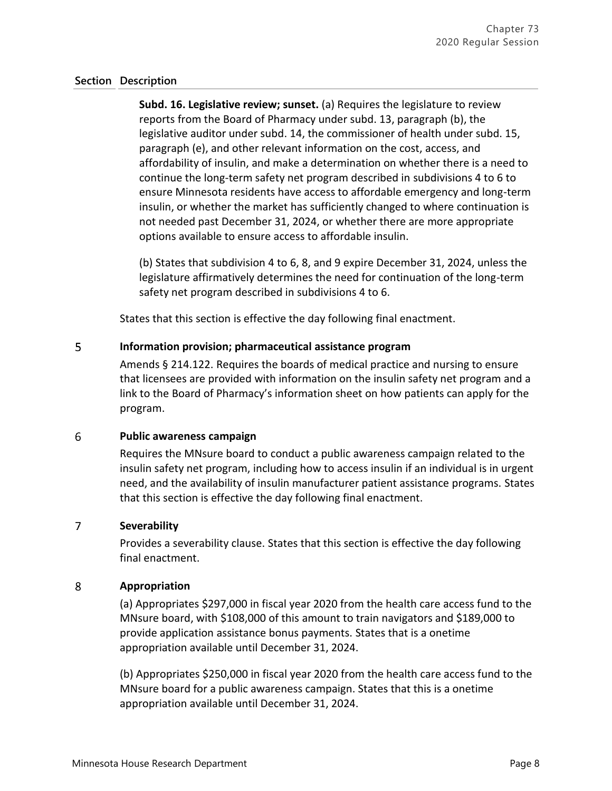**Subd. 16. Legislative review; sunset.** (a) Requires the legislature to review reports from the Board of Pharmacy under subd. 13, paragraph (b), the legislative auditor under subd. 14, the commissioner of health under subd. 15, paragraph (e), and other relevant information on the cost, access, and affordability of insulin, and make a determination on whether there is a need to continue the long-term safety net program described in subdivisions 4 to 6 to ensure Minnesota residents have access to affordable emergency and long-term insulin, or whether the market has sufficiently changed to where continuation is not needed past December 31, 2024, or whether there are more appropriate options available to ensure access to affordable insulin.

(b) States that subdivision 4 to 6, 8, and 9 expire December 31, 2024, unless the legislature affirmatively determines the need for continuation of the long-term safety net program described in subdivisions 4 to 6.

States that this section is effective the day following final enactment.

#### 5 **Information provision; pharmaceutical assistance program**

Amends § 214.122. Requires the boards of medical practice and nursing to ensure that licensees are provided with information on the insulin safety net program and a link to the Board of Pharmacy's information sheet on how patients can apply for the program.

#### 6 **Public awareness campaign**

Requires the MNsure board to conduct a public awareness campaign related to the insulin safety net program, including how to access insulin if an individual is in urgent need, and the availability of insulin manufacturer patient assistance programs. States that this section is effective the day following final enactment.

#### $\overline{7}$ **Severability**

Provides a severability clause. States that this section is effective the day following final enactment.

#### 8 **Appropriation**

(a) Appropriates \$297,000 in fiscal year 2020 from the health care access fund to the MNsure board, with \$108,000 of this amount to train navigators and \$189,000 to provide application assistance bonus payments. States that is a onetime appropriation available until December 31, 2024.

(b) Appropriates \$250,000 in fiscal year 2020 from the health care access fund to the MNsure board for a public awareness campaign. States that this is a onetime appropriation available until December 31, 2024.